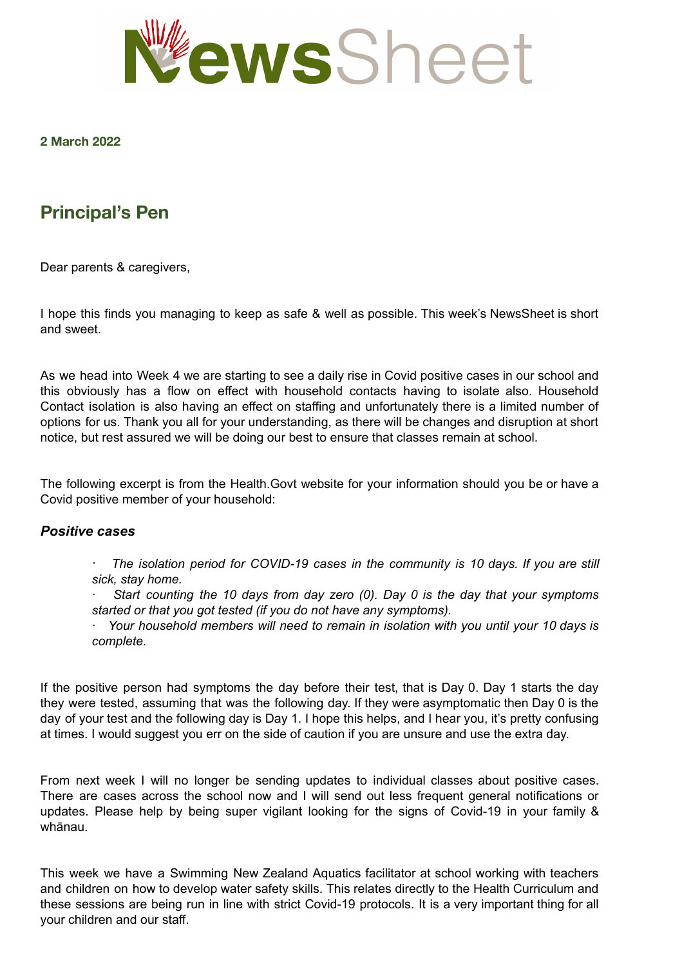

### **2 March 2022**

# **Principal's Pen**

Dear parents & caregivers,

I hope this finds you managing to keep as safe & well as possible. This week's NewsSheet is short and sweet.

As we head into Week 4 we are starting to see a daily rise in Covid positive cases in our school and this obviously has a flow on effect with household contacts having to isolate also. Household Contact isolation is also having an effect on staffing and unfortunately there is a limited number of options for us. Thank you all for your understanding, as there will be changes and disruption at short notice, but rest assured we will be doing our best to ensure that classes remain at school.

The following excerpt is from the Health.Govt website for your information should you be or have a Covid positive member of your household:

### *Positive cases*

· *The isolation period for COVID-19 cases in the community is 10 days. If you are still sick, stay home.*

· *Start counting the 10 days from day zero (0). Day 0 is the day that your symptoms started or that you got tested (if you do not have any symptoms).*

· *Your household members will need to remain in isolation with you until your 10 days is complete.*

If the positive person had symptoms the day before their test, that is Day 0. Day 1 starts the day they were tested, assuming that was the following day. If they were asymptomatic then Day 0 is the day of your test and the following day is Day 1. I hope this helps, and I hear you, it's pretty confusing at times. I would suggest you err on the side of caution if you are unsure and use the extra day.

From next week I will no longer be sending updates to individual classes about positive cases. There are cases across the school now and I will send out less frequent general notifications or updates. Please help by being super vigilant looking for the signs of Covid-19 in your family & whānau.

This week we have a Swimming New Zealand Aquatics facilitator at school working with teachers and children on how to develop water safety skills. This relates directly to the Health Curriculum and these sessions are being run in line with strict Covid-19 protocols. It is a very important thing for all your children and our staff.